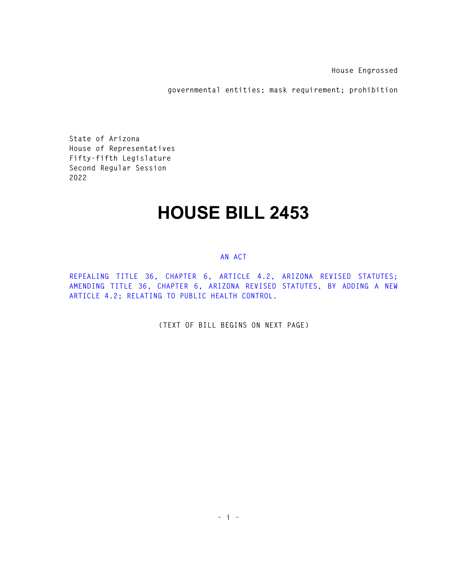**House Engrossed** 

**governmental entities; mask requirement; prohibition** 

**State of Arizona House of Representatives Fifty-fifth Legislature Second Regular Session 2022** 

## **HOUSE BILL 2453**

## **AN ACT**

**REPEALING TITLE 36, CHAPTER 6, ARTICLE 4.2, ARIZONA REVISED STATUTES; AMENDING TITLE 36, CHAPTER 6, ARIZONA REVISED STATUTES, BY ADDING A NEW ARTICLE 4.2; RELATING TO PUBLIC HEALTH CONTROL.** 

**(TEXT OF BILL BEGINS ON NEXT PAGE)**